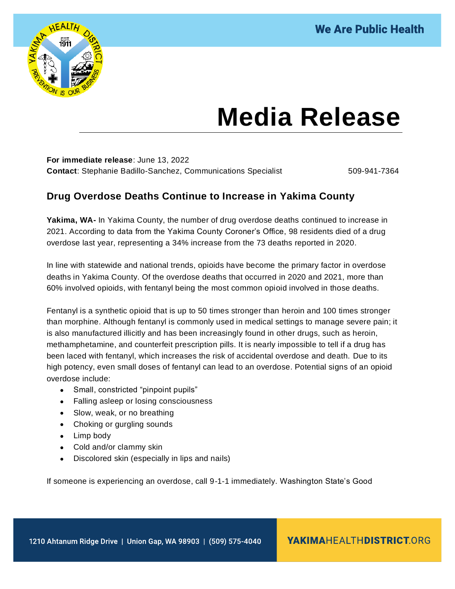

## **Media Release**

**For immediate release**: June 13, 2022 **Contact: Stephanie Badillo-Sanchez, Communications Specialist 509-941-7364** 

## **Drug Overdose Deaths Continue to Increase in Yakima County**

**Yakima, WA-** In Yakima County, the number of drug overdose deaths continued to increase in 2021. According to data from the Yakima County Coroner's Office, 98 residents died of a drug overdose last year, representing a 34% increase from the 73 deaths reported in 2020.

In line with statewide and national trends, opioids have become the primary factor in overdose deaths in Yakima County. Of the overdose deaths that occurred in 2020 and 2021, more than 60% involved opioids, with fentanyl being the most common opioid involved in those deaths.

Fentanyl is a synthetic opioid that is up to 50 times stronger than heroin and 100 times stronger than morphine. Although fentanyl is commonly used in medical settings to manage severe pain; it is also manufactured illicitly and has been increasingly found in other drugs, such as heroin, methamphetamine, and counterfeit prescription pills. It is nearly impossible to tell if a drug has been laced with fentanyl, which increases the risk of accidental overdose and death. Due to its high potency, even small doses of fentanyl can lead to an overdose. Potential signs of an opioid overdose include:

- Small, constricted "pinpoint pupils"
- Falling asleep or losing consciousness
- Slow, weak, or no breathing
- Choking or gurgling sounds
- Limp body
- Cold and/or clammy skin
- Discolored skin (especially in lips and nails)

If someone is experiencing an overdose, call 9-1-1 immediately. Washington State's Good